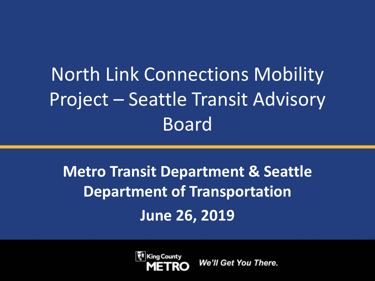# North Link Connections Mobility Project – Seattle Transit Advisory Board

## **Metro Transit Department & Seattle Department of Transportation June 26, 2019**

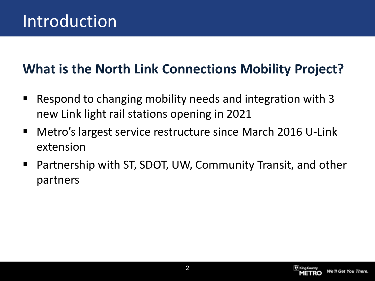### **What is the North Link Connections Mobility Project?**

- Respond to changing mobility needs and integration with 3 new Link light rail stations opening in 2021
- Metro's largest service restructure since March 2016 U-Link extension
- Partnership with ST, SDOT, UW, Community Transit, and other partners

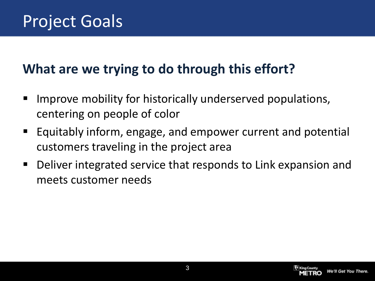### **What are we trying to do through this effort?**

- Improve mobility for historically underserved populations, centering on people of color
- Equitably inform, engage, and empower current and potential customers traveling in the project area
- Deliver integrated service that responds to Link expansion and meets customer needs

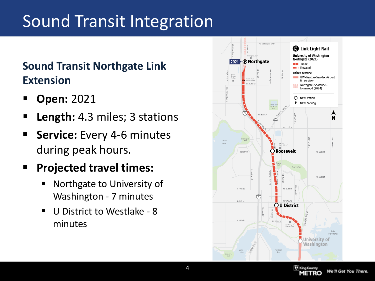## Sound Transit Integration

#### **Sound Transit Northgate Link Extension**

- **Open:** 2021
- **Length:** 4.3 miles; 3 stations
- **Service:** Every 4-6 minutes during peak hours.
- **Projected travel times:**
	- **Northgate to University of** Washington - 7 minutes
	- U District to Westlake 8 minutes



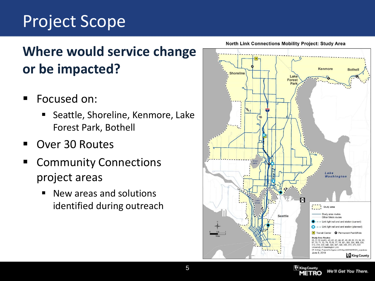## Project Scope

### **Where would service change or be impacted?**

- Focused on:
	- Seattle, Shoreline, Kenmore, Lake Forest Park, Bothell
- Over 30 Routes
- **E** Community Connections project areas
	- New areas and solutions identified during outreach

**North Link Connections Mobility Project: Study Area** 





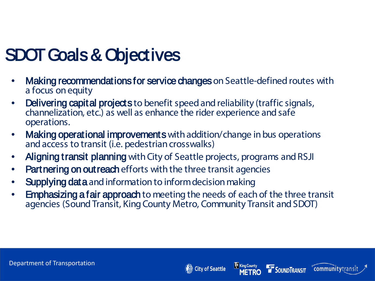## SDOT Goals & Objectives

- Making recommendations for service changes on Seattle-defined routes with a focus on equity
- **Delivering capital projects** to benefit speed and reliability (traffic signals, channelization, etc.) as well as enhance the rider experience and safe operations.
- Making operational improvements with addition/change in bus operations and access to transit (i.e. pedestrian crosswalks)
- Aligning transit planning with City of Seattle projects, programs and RSJI
- **Partnering on out reach** efforts with the three transit agencies
- **Supplying data** and information to inform decision making
- **Emphasizing a fair approach** to meeting the needs of each of the three transit agencies (Sound Transit, King County Metro, Community Transit and SDOT)

King County<br>METRO

City of Seattle

**SOUNDTRANSIT** 

**community**transi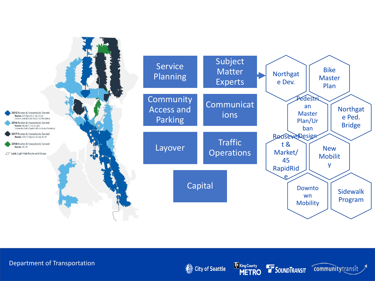

#### Department of Transportation

City of Seattle



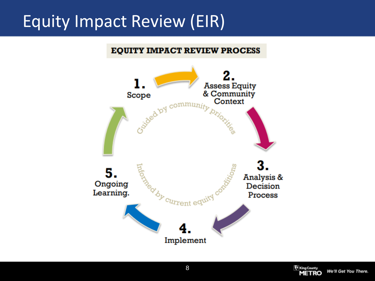## Equity Impact Review (EIR)

#### **EQUITY IMPACT REVIEW PROCESS**



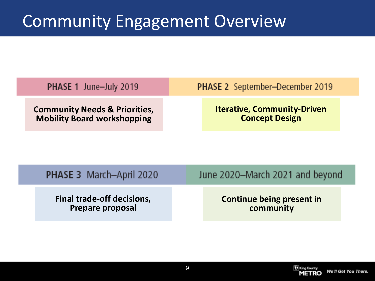## Community Engagement Overview

| <b>PHASE 1 June-July 2019</b>            | <b>PHASE 2</b> September-December 2019 |
|------------------------------------------|----------------------------------------|
| <b>Community Needs &amp; Priorities,</b> | <b>Iterative, Community-Driven</b>     |
| <b>Mobility Board workshopping</b>       | <b>Concept Design</b>                  |

| <b>PHASE 3</b> March-April 2020   | June 2020-March 2021 and beyond |
|-----------------------------------|---------------------------------|
| <b>Final trade-off decisions,</b> | Continue being present in       |

**Prepare proposal**

**community**

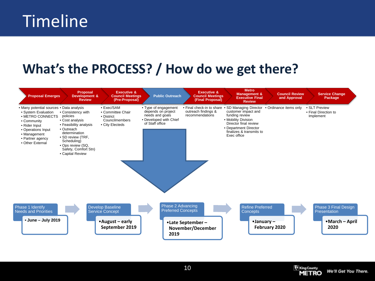## Timeline

### **What's the PROCESS? / How do we get there?**





**I** King County

We'll Get You There.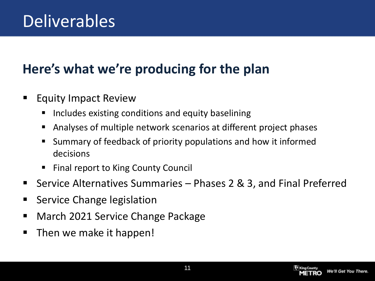## Deliverables

### **Here's what we're producing for the plan**

- **Equity Impact Review** 
	- $\blacksquare$  Includes existing conditions and equity baselining
	- Analyses of multiple network scenarios at different project phases
	- Summary of feedback of priority populations and how it informed decisions
	- Final report to King County Council
- Service Alternatives Summaries Phases 2 & 3, and Final Preferred
- **Service Change legislation**
- March 2021 Service Change Package
- Then we make it happen!

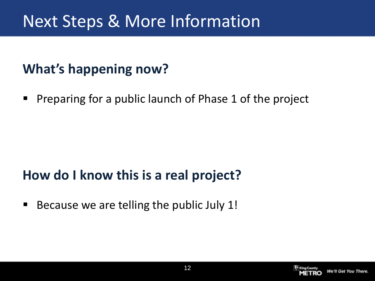## Next Steps & More Information

### **What's happening now?**

**Preparing for a public launch of Phase 1 of the project** 

#### **How do I know this is a real project?**

Because we are telling the public July 1!